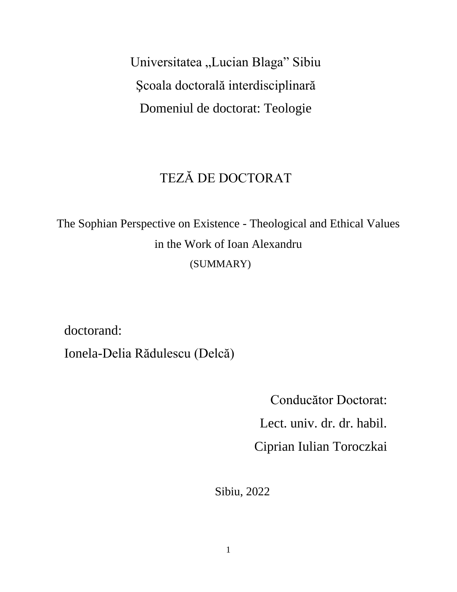Universitatea "Lucian Blaga" Sibiu Şcoala doctorală interdisciplinară Domeniul de doctorat: Teologie

## TEZĂ DE DOCTORAT

The Sophian Perspective on Existence - Theological and Ethical Values in the Work of Ioan Alexandru (SUMMARY)

doctorand:

Ionela-Delia Rădulescu (Delcă)

Conducător Doctorat: Lect. univ. dr. dr. habil. Ciprian Iulian Toroczkai

Sibiu, 2022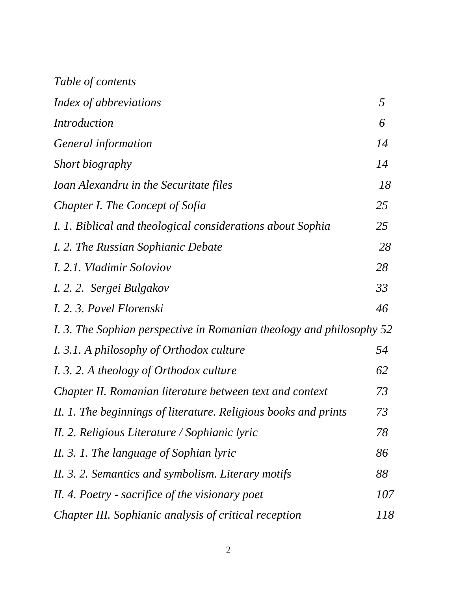| Table of contents                                                    |            |
|----------------------------------------------------------------------|------------|
| Index of abbreviations                                               | 5          |
| <i>Introduction</i>                                                  | 6          |
| General information                                                  | 14         |
| Short biography                                                      | 14         |
| Ioan Alexandru in the Securitate files                               | 18         |
| Chapter I. The Concept of Sofia                                      | 25         |
| I. 1. Biblical and theological considerations about Sophia           | 25         |
| I. 2. The Russian Sophianic Debate                                   | 28         |
| <i>I. 2.1. Vladimir Soloviov</i>                                     | 28         |
| I. 2. 2. Sergei Bulgakov                                             | 33         |
| I. 2. 3. Pavel Florenski                                             | 46         |
| I. 3. The Sophian perspective in Romanian theology and philosophy 52 |            |
| I. 3.1. A philosophy of Orthodox culture                             | 54         |
| I. 3. 2. A theology of Orthodox culture                              | 62         |
| Chapter II. Romanian literature between text and context             | 73         |
| II. 1. The beginnings of literature. Religious books and prints      | 73         |
| II. 2. Religious Literature / Sophianic lyric                        | 78         |
| II. 3. 1. The language of Sophian lyric                              | 86         |
| II. 3. 2. Semantics and symbolism. Literary motifs                   | 88         |
| II. 4. Poetry - sacrifice of the visionary poet                      | <i>107</i> |
| Chapter III. Sophianic analysis of critical reception                | 118        |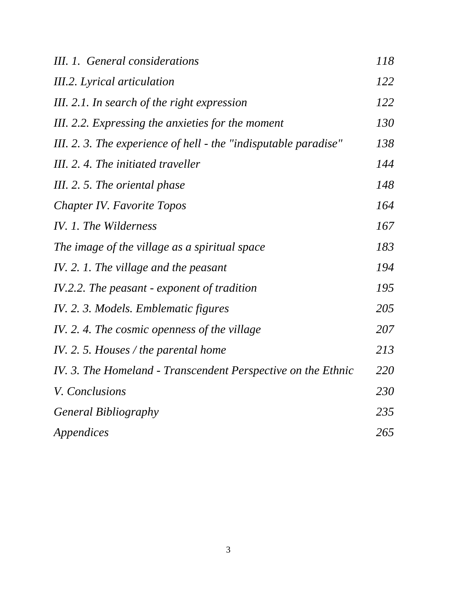| III. 1. General considerations                                  | 118 |
|-----------------------------------------------------------------|-----|
| III.2. Lyrical articulation                                     | 122 |
| III. 2.1. In search of the right expression                     | 122 |
| III. 2.2. Expressing the anxieties for the moment               | 130 |
| III. 2. 3. The experience of hell - the "indisputable paradise" | 138 |
| III. 2. 4. The initiated traveller                              | 144 |
| III. 2. 5. The oriental phase                                   | 148 |
| Chapter IV. Favorite Topos                                      | 164 |
| IV. 1. The Wilderness                                           | 167 |
| The image of the village as a spiritual space                   | 183 |
| IV. 2. 1. The village and the peasant                           | 194 |
| IV.2.2. The peasant - exponent of tradition                     | 195 |
| IV. 2. 3. Models. Emblematic figures                            | 205 |
| IV. 2. 4. The cosmic openness of the village                    | 207 |
| IV. 2. 5. Houses / the parental home                            | 213 |
| IV. 3. The Homeland - Transcendent Perspective on the Ethnic    | 220 |
| V. Conclusions                                                  | 230 |
| <b>General Bibliography</b>                                     | 235 |
| Appendices                                                      | 265 |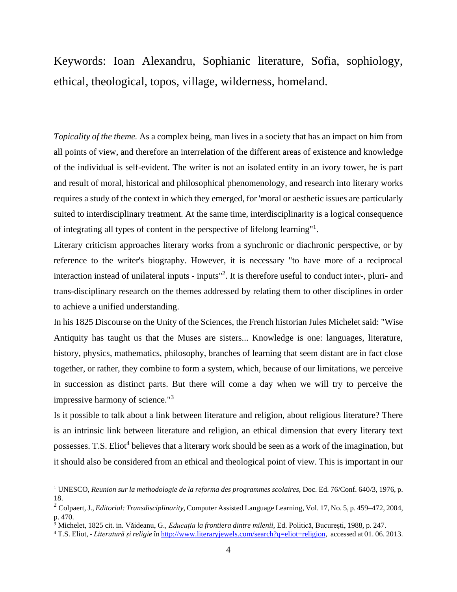Keywords: Ioan Alexandru, Sophianic literature, Sofia, sophiology, ethical, theological, topos, village, wilderness, homeland.

*Topicality of the theme.* As a complex being, man lives in a society that has an impact on him from all points of view, and therefore an interrelation of the different areas of existence and knowledge of the individual is self-evident. The writer is not an isolated entity in an ivory tower, he is part and result of moral, historical and philosophical phenomenology, and research into literary works requires a study of the context in which they emerged, for 'moral or aesthetic issues are particularly suited to interdisciplinary treatment. At the same time, interdisciplinarity is a logical consequence of integrating all types of content in the perspective of lifelong learning"<sup>1</sup> .

Literary criticism approaches literary works from a synchronic or diachronic perspective, or by reference to the writer's biography. However, it is necessary "to have more of a reciprocal interaction instead of unilateral inputs - inputs"<sup>2</sup> . It is therefore useful to conduct inter-, pluri- and trans-disciplinary research on the themes addressed by relating them to other disciplines in order to achieve a unified understanding.

In his 1825 Discourse on the Unity of the Sciences, the French historian Jules Michelet said: "Wise Antiquity has taught us that the Muses are sisters... Knowledge is one: languages, literature, history, physics, mathematics, philosophy, branches of learning that seem distant are in fact close together, or rather, they combine to form a system, which, because of our limitations, we perceive in succession as distinct parts. But there will come a day when we will try to perceive the impressive harmony of science."<sup>3</sup>

Is it possible to talk about a link between literature and religion, about religious literature? There is an intrinsic link between literature and religion, an ethical dimension that every literary text possesses. T.S. Eliot<sup>4</sup> believes that a literary work should be seen as a work of the imagination, but it should also be considered from an ethical and theological point of view. This is important in our

<sup>1</sup> UNESCO, *Reunion sur la methodologie de la reforma des programmes scolaires*, Doc. Ed. 76/Conf. 640/3, 1976, p. 18.

<sup>2</sup> Colpaert, J., *Editorial: Transdisciplinarity,* Computer Assisted Language Learning, Vol. 17, No. 5, p. 459–472, 2004, p. 470.

<sup>3</sup> Michelet, 1825 cit. in. Văideanu, G., *Educația la frontiera dintre milenii,* Ed. Politică, București, 1988, p. 247.

<sup>4</sup> T.S. Eliot, - *Literatură și religie* în [http://www.literaryjewels.com/search?q=eliot+religion,](http://www.literaryjewels.com/search?q=eliot%2Breligion) accessed at 01. 06. 2013.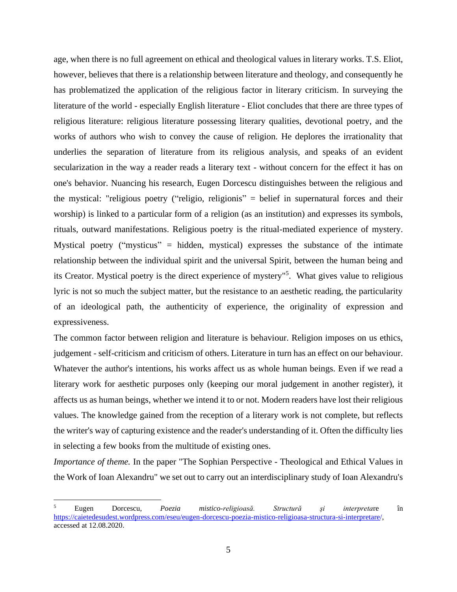age, when there is no full agreement on ethical and theological values in literary works. T.S. Eliot, however, believes that there is a relationship between literature and theology, and consequently he has problematized the application of the religious factor in literary criticism. In surveying the literature of the world - especially English literature - Eliot concludes that there are three types of religious literature: religious literature possessing literary qualities, devotional poetry, and the works of authors who wish to convey the cause of religion. He deplores the irrationality that underlies the separation of literature from its religious analysis, and speaks of an evident secularization in the way a reader reads a literary text - without concern for the effect it has on one's behavior. Nuancing his research, Eugen Dorcescu distinguishes between the religious and the mystical: "religious poetry ("religio, religionis" = belief in supernatural forces and their worship) is linked to a particular form of a religion (as an institution) and expresses its symbols, rituals, outward manifestations. Religious poetry is the ritual-mediated experience of mystery. Mystical poetry ("mysticus" = hidden, mystical) expresses the substance of the intimate relationship between the individual spirit and the universal Spirit, between the human being and its Creator. Mystical poetry is the direct experience of mystery"<sup>5</sup> . What gives value to religious lyric is not so much the subject matter, but the resistance to an aesthetic reading, the particularity of an ideological path, the authenticity of experience, the originality of expression and expressiveness.

The common factor between religion and literature is behaviour. Religion imposes on us ethics, judgement - self-criticism and criticism of others. Literature in turn has an effect on our behaviour. Whatever the author's intentions, his works affect us as whole human beings. Even if we read a literary work for aesthetic purposes only (keeping our moral judgement in another register), it affects us as human beings, whether we intend it to or not. Modern readers have lost their religious values. The knowledge gained from the reception of a literary work is not complete, but reflects the writer's way of capturing existence and the reader's understanding of it. Often the difficulty lies in selecting a few books from the multitude of existing ones.

*Importance of theme.* In the paper "The Sophian Perspective - Theological and Ethical Values in the Work of Ioan Alexandru" we set out to carry out an interdisciplinary study of Ioan Alexandru's

<sup>5</sup> Eugen Dorcescu, *Poezia mistico-religioasă. Structură şi interpreta*re în [https://caietedesudest.wordpress.com/eseu/eugen-dorcescu-poezia-mistico-religioasa-structura-si-interpretare/,](https://caietedesudest.wordpress.com/eseu/eugen-dorcescu-poezia-mistico-religioasa-structura-si-interpretare/)  accessed at 12.08.2020.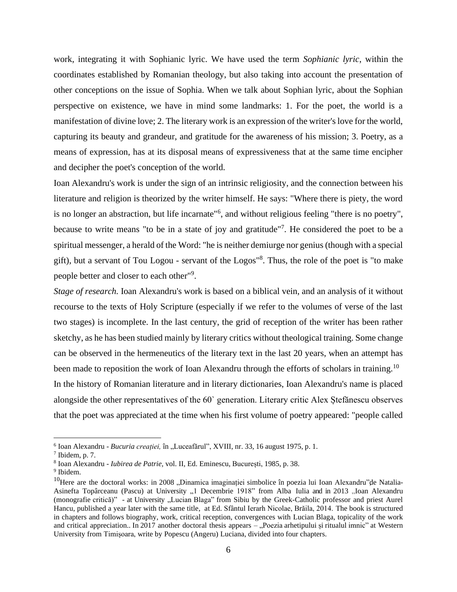work, integrating it with Sophianic lyric. We have used the term *Sophianic lyric*, within the coordinates established by Romanian theology, but also taking into account the presentation of other conceptions on the issue of Sophia. When we talk about Sophian lyric, about the Sophian perspective on existence, we have in mind some landmarks: 1. For the poet, the world is a manifestation of divine love; 2. The literary work is an expression of the writer's love for the world, capturing its beauty and grandeur, and gratitude for the awareness of his mission; 3. Poetry, as a means of expression, has at its disposal means of expressiveness that at the same time encipher and decipher the poet's conception of the world.

Ioan Alexandru's work is under the sign of an intrinsic religiosity, and the connection between his literature and religion is theorized by the writer himself. He says: "Where there is piety, the word is no longer an abstraction, but life incarnate"<sup>6</sup>, and without religious feeling "there is no poetry", because to write means "to be in a state of joy and gratitude"<sup>7</sup>. He considered the poet to be a spiritual messenger, a herald of the Word: "he is neither demiurge nor genius (though with a special gift), but a servant of Tou Logou - servant of the Logos"<sup>8</sup> . Thus, the role of the poet is "to make people better and closer to each other"<sup>9</sup>.

*Stage of research.* Ioan Alexandru's work is based on a biblical vein, and an analysis of it without recourse to the texts of Holy Scripture (especially if we refer to the volumes of verse of the last two stages) is incomplete. In the last century, the grid of reception of the writer has been rather sketchy, as he has been studied mainly by literary critics without theological training. Some change can be observed in the hermeneutics of the literary text in the last 20 years, when an attempt has been made to reposition the work of Ioan Alexandru through the efforts of scholars in training.<sup>10</sup> In the history of Romanian literature and in literary dictionaries, Ioan Alexandru's name is placed alongside the other representatives of the 60` generation. Literary critic Alex Ștefănescu observes that the poet was appreciated at the time when his first volume of poetry appeared: "people called

<sup>&</sup>lt;sup>6</sup> Ioan Alexandru - *Bucuria creației*, în "Luceafărul", XVIII, nr. 33, 16 august 1975, p. 1.

 $7$  Ibidem, p. 7.

<sup>8</sup> Ioan Alexandru - *Iubirea de Patrie,* vol. II, Ed. Eminescu, București, 1985, p. 38.

<sup>9</sup> Ibidem.

 $10$ Here are the doctoral works: in 2008 "Dinamica imaginației simbolice în poezia lui Ioan Alexandru" de Natalia-Asinefta Topârceanu (Pascu) at University "1 Decembrie 1918" from Alba Iulia and in 2013 "Ioan Alexandru (monografie critică)" - at University "Lucian Blaga" from Sibiu by the Greek-Catholic professor and priest Aurel Hancu, published a year later with the same title, at Ed. Sfântul Ierarh Nicolae, Brăila, 2014. The book is structured in chapters and follows biography, work, critical reception, convergences with Lucian Blaga, topicality of the work and critical appreciation.. In 2017 another doctoral thesis appears – "Poezia arhetipului și ritualul imnic" at Western University from Timișoara, write by Popescu (Angeru) Luciana, divided into four chapters.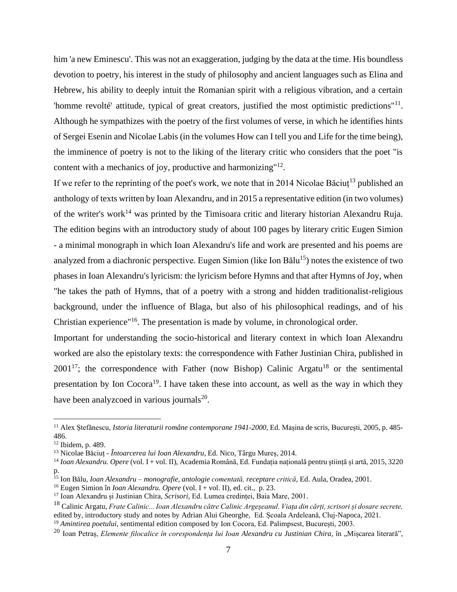him 'a new Eminescu'. This was not an exaggeration, judging by the data at the time. His boundless devotion to poetry, his interest in the study of philosophy and ancient languages such as Elina and Hebrew, his ability to deeply intuit the Romanian spirit with a religious vibration, and a certain 'homme revolté' attitude, typical of great creators, justified the most optimistic predictions"<sup>11</sup>. Although he sympathizes with the poetry of the first volumes of verse, in which he identifies hints of Sergei Esenin and Nicolae Labis (in the volumes How can I tell you and Life for the time being), the imminence of poetry is not to the liking of the literary critic who considers that the poet "is content with a mechanics of joy, productive and harmonizing"<sup>12</sup>.

If we refer to the reprinting of the poet's work, we note that in 2014 Nicolae Băciuț<sup>13</sup> published an anthology of texts written by Ioan Alexandru, and in 2015 a representative edition (in two volumes) of the writer's work<sup>14</sup> was printed by the Timisoara critic and literary historian Alexandru Ruja. The edition begins with an introductory study of about 100 pages by literary critic Eugen Simion - a minimal monograph in which Ioan Alexandru's life and work are presented and his poems are analyzed from a diachronic perspective. Eugen Simion (like Ion Bălu $^{15}$ ) notes the existence of two phases in Ioan Alexandru's lyricism: the lyricism before Hymns and that after Hymns of Joy, when "he takes the path of Hymns, that of a poetry with a strong and hidden traditionalist-religious background, under the influence of Blaga, but also of his philosophical readings, and of his Christian experience"<sup>16</sup>. The presentation is made by volume, in chronological order.

Important for understanding the socio-historical and literary context in which Ioan Alexandru worked are also the epistolary texts: the correspondence with Father Justinian Chira, published in  $2001^{17}$ ; the correspondence with Father (now Bishop) Calinic Argatu<sup>18</sup> or the sentimental presentation by Ion  $Cocora<sup>19</sup>$ . I have taken these into account, as well as the way in which they have been analyzcoed in various journals<sup>20</sup>.

<sup>11</sup> Alex Ștefănescu, *Istoria literaturii române contemporane 1941-2000,* Ed. Mașina de scris, București, 2005, p. 485- 486.

<sup>12</sup> Ibidem, p. 489.

<sup>13</sup> Nicolae Băciuț - *Întoarcerea lui Ioan Alexandru*, Ed. Nico, Târgu Mureș, 2014.

<sup>14</sup> *Ioan Alexandru. Opere* (vol. I + vol. II), Academia Română, Ed. Fundația națională pentru știință și artă, 2015, 3220 p.

<sup>15</sup> Ion Bălu, *Ioan Alexandru – monografie, antologie comentată, receptare critică*, Ed. Aula, Oradea, 2001.

<sup>16</sup> Eugen Simion în *Ioan Alexandru. Opere* (vol. I + vol. II), ed. cit., p. 23.

<sup>17</sup> Ioan Alexandru și Justinian Chira, *Scrisori,* Ed. Lumea credinței, Baia Mare, 2001.

<sup>18</sup> Calinic Argatu, *Frate Calinic... Ioan Alexandru către Calinic Argeșeanul. Viața din cărți, scrisori și dosare secrete,*  edited by, introductory study and notes by Adrian Alui Gheorghe, Ed. Școala Ardeleană, Cluj-Napoca, 2021.

<sup>19</sup> *Amintirea poetului,* sentimental edition composed by Ion Cocora, Ed. Palimpsest, București, 2003.

<sup>&</sup>lt;sup>20</sup> Ioan Petraș, *Elemente filocalice în corespondența lui Ioan Alexandru cu Justinian Chira, în "Mișcarea literară",*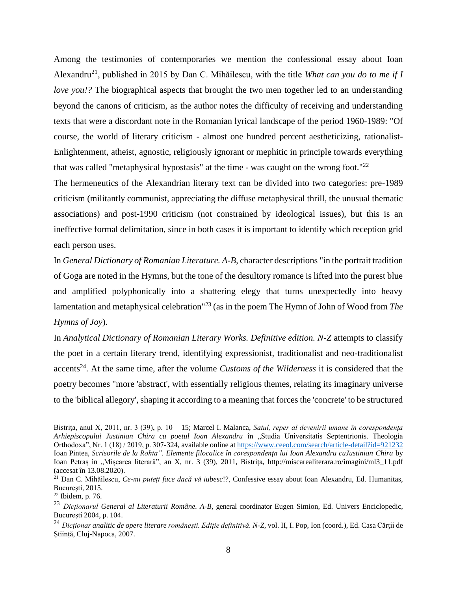Among the testimonies of contemporaries we mention the confessional essay about Ioan Alexandru<sup>21</sup>, published in 2015 by Dan C. Mihăilescu, with the title *What can you do to me if I love you!?* The biographical aspects that brought the two men together led to an understanding beyond the canons of criticism, as the author notes the difficulty of receiving and understanding texts that were a discordant note in the Romanian lyrical landscape of the period 1960-1989: "Of course, the world of literary criticism - almost one hundred percent aestheticizing, rationalist-Enlightenment, atheist, agnostic, religiously ignorant or mephitic in principle towards everything that was called "metaphysical hypostasis" at the time - was caught on the wrong foot."<sup>22</sup>

The hermeneutics of the Alexandrian literary text can be divided into two categories: pre-1989 criticism (militantly communist, appreciating the diffuse metaphysical thrill, the unusual thematic associations) and post-1990 criticism (not constrained by ideological issues), but this is an ineffective formal delimitation, since in both cases it is important to identify which reception grid each person uses.

In *General Dictionary of Romanian Literature. A-B,* character descriptions "in the portrait tradition of Goga are noted in the Hymns, but the tone of the desultory romance is lifted into the purest blue and amplified polyphonically into a shattering elegy that turns unexpectedly into heavy lamentation and metaphysical celebration"<sup>23</sup> (as in the poem The Hymn of John of Wood from *The Hymns of Joy*).

In *Analytical Dictionary of Romanian Literary Works. Definitive edition. N-Z* attempts to classify the poet in a certain literary trend, identifying expressionist, traditionalist and neo-traditionalist accents<sup>24</sup>. At the same time, after the volume *Customs of the Wilderness* it is considered that the poetry becomes "more 'abstract', with essentially religious themes, relating its imaginary universe to the 'biblical allegory', shaping it according to a meaning that forces the 'concrete' to be structured

Bistrița, anul X, 2011, nr. 3 (39), p. 10 – 15; Marcel I. Malanca, *Satul, reper al devenirii umane în corespondența Arhiepiscopului Justinian Chira cu poetul Ioan Alexandru* în "Studia Universitatis Septentrionis. Theologia Orthodoxa", Nr. 1 (18) / 2019, p. 307-324, available online at<https://www.ceeol.com/search/article-detail?id=921232> Ioan Pintea, *Scrisorile de la Rohia". Elemente filocalice în corespondenţa lui Ioan Alexandru cuJustinian Chira* by Ioan Petras in "Miscarea literară", an X, nr. 3 (39), 2011, Bistrita, http://miscarealiterara.ro/imagini/ml3\_11.pdf (accesat în 13.08.2020).

<sup>21</sup> Dan C. Mihăilescu, *Ce-mi puteți face dacă vă iubesc*!?, Confessive essay about Ioan Alexandru, Ed. Humanitas, București, 2015.

 $22$  Ibidem, p. 76.

<sup>23</sup> *Dicționarul General al Literaturii Române. A-B*, general coordinator Eugen Simion, Ed. Univers Enciclopedic, București 2004, p. 104.

<sup>24</sup> *Dicționar analitic de opere literare românești. Ediție definitivă. N-Z*, vol. II, I. Pop, Ion (coord.), Ed. Casa Cărții de Știință, Cluj-Napoca, 2007.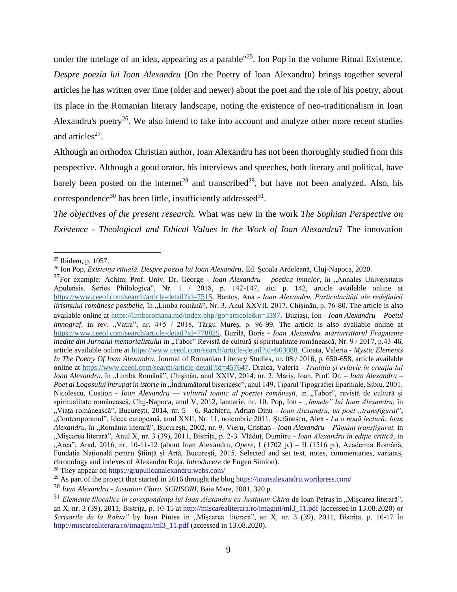under the tutelage of an idea, appearing as a parable<sup>"25</sup>. Ion Pop in the volume Ritual Existence. *Despre poezia lui Ioan Alexandru* (On the Poetry of Ioan Alexandru) brings together several articles he has written over time (older and newer) about the poet and the role of his poetry, about its place in the Romanian literary landscape, noting the existence of neo-traditionalism in Ioan Alexandru's poetry<sup>26</sup>. We also intend to take into account and analyze other more recent studies and articles $^{27}$ .

Although an orthodox Christian author, Ioan Alexandru has not been thoroughly studied from this perspective. Although a good orator, his interviews and speeches, both literary and political, have barely been posted on the internet<sup>28</sup> and transcribed<sup>29</sup>, but have not been analyzed. Also, his correspondence<sup>30</sup> has been little, insufficiently addressed<sup>31</sup>.

*The objectives of the present research.* What was new in the work *The Sophian Perspective on Existence - Theological and Ethical Values in the Work of Ioan Alexandru*? The innovation

<sup>25</sup> Ibidem, p. 1057.

<sup>26</sup> Ion Pop, *Existența rituală. Despre poezia lui Ioan Alexandru,* Ed. Școala Ardeleană, Cluj-Napoca, 2020.

<sup>&</sup>lt;sup>27</sup>For example: Achim, Prof. Univ. Dr. George - *Ioan Alexandru – poetica imnelor*, în "Annales Universitatis Apulensis. Series Philologica", Nr. 1 / 2018, p. 142-147, aici p. 142, article available online at [https://www.ceeol.com/search/article-detail?id=7515.](https://www.ceeol.com/search/article-detail?id=7515) Bantoș, Ana *- Ioan Alexandru. Particularități ale redefinirii lirismului românesc postbelic,* în "Limba română", Nr. 3, Anul XXVII, 2017, Chișinău, p. 76-80. The article is also available online at<https://limbaromana.md/index.php?go=articole&n=3397>. Buziași, Ion - *Ioan Alexandru – Poetul imnograf*, in rev. "Vatra", nr. 4+5 / 2018, Târgu Mureș, p. 96-99. The article is also available online at [https://www.ceeol.com/search/article-detail?id=778825.](https://www.ceeol.com/search/article-detail?id=778825) Buzilă, Boris - *Ioan Alexandru, mărturisitorul Fragmente inedite din Jurnalul memorialistului* în "Tabor" Revistă de cultură și spiritualitate românească, Nr. 9/2017, p.43-46, article available online at [https://www.ceeol.com/search/article-detail?id=903088.](https://www.ceeol.com/search/article-detail?id=903088) Cioata, Valeria *- Mystic Elements In The Poetry Of Ioan Alexandru,* Journal of Romanian Literary Studies, nr. 08 / 2016, p. 650-658, article available online at [https://www.ceeol.com/search/article-detail?id=457647.](https://www.ceeol.com/search/article-detail?id=457647) Draica, Valeria *- Tradiția și evlavie în creația lui Ioan Alexandru,* în "Limba Română", Chișinău, anul XXIV, 2014, nr. 2. Mariş, Ioan, Prof. Dr. – *Ioan Alexandru – Poet al Logosului întrupat în istorie* în "Îndrumătorul bisericesc", anul 149, Tiparul Tipografiei Eparhiale, Sibiu, 2001. Nicolescu, Costion *- Ioan Alexandru — vulturul ioanic al poeziei românești*, in "Tabor", revistă de cultură și spiritualitate românească, Cluj-Napoca, anul V, 2012, ianuarie, nr. 10. Pop, Ion - "Imnele" lui Ioan Alexandru, în "Viata românească", București, 2014, nr. 5 – 6. Rachieru, Adrian Dinu - *Ioan Alexandru, un poet "transfigurat*", "Contemporanul", Ideea europeană, anul XXII, Nr. 11, noiembrie 2011. Ștefănescu, Alex - *La o nouă lectură: Ioan Alexandru*, în "România literară", București, 2002, nr. 9. Vieru, Cristian *- Ioan Alexandru – Pământ transfigurat,* in "Mișcarea literară", Anul X, nr. 3 (39), 2011, Bistrița, p. 2-3. Vlăduț, Dumitru - *Ioan Alexandru în ediție critică*, in "Arca", Arad, 2016, nr. 10-11-12 (about Ioan Alexandru, *Opere*, I (1702 p.) – II (1516 p.), Academia Română, Fundația Națională pentru Știință și Artă, București, 2015. Selected and set text, notes, commentaries, variants, chronology and indexes of Alexandru Ruja. *Introducere* de Eugen Simion).

<sup>28</sup> They appear o[n https://grupulioanalexandru.webs.com/](https://grupulioanalexandru.webs.com/)

<sup>&</sup>lt;sup>29</sup> As part of the project that started in 2016 throught the blog <https://ioansalexandru.wordpress.com/>

<sup>30</sup> *Ioan Alexandru - Justinian Chira. SCRISORI*, Baia Mare, 2001, 320 p.

<sup>&</sup>lt;sup>31</sup> *Elemente filocalice în corespondenta lui Ioan Alexandru cu Justinian Chira de Ioan Petras în "Miscarea literară"*, an X, nr. 3 (39), 2011, Bistrița, p. 10-15 at [http://miscarealiterara.ro/imagini/ml3\\_11.pdf](http://miscarealiterara.ro/imagini/ml3_11.pdf) (accessed in 13.08.2020) or *Scrisorile de la Rohia"* by Ioan Pintea in "Mișcarea literară", an X, nr. 3 (39), 2011, Bistrița, p. 16-17 în [http://miscarealiterara.ro/imagini/ml3\\_11.pdf](http://miscarealiterara.ro/imagini/ml3_11.pdf) (accessed in 13.08.2020).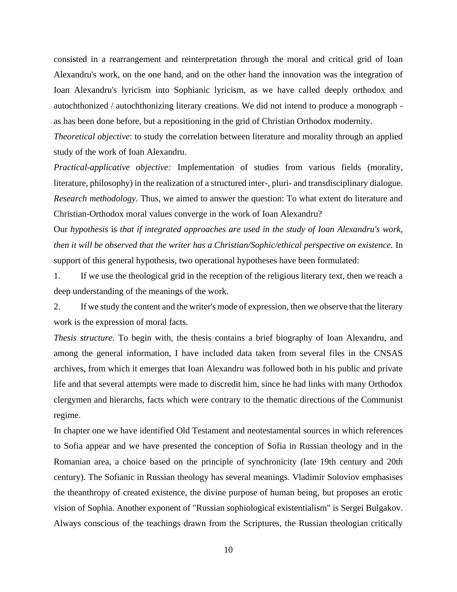consisted in a rearrangement and reinterpretation through the moral and critical grid of Ioan Alexandru's work, on the one hand, and on the other hand the innovation was the integration of Ioan Alexandru's lyricism into Sophianic lyricism, as we have called deeply orthodox and autochthonized / autochthonizing literary creations. We did not intend to produce a monograph as has been done before, but a repositioning in the grid of Christian Orthodox modernity.

*Theoretical objective*: to study the correlation between literature and morality through an applied study of the work of Ioan Alexandru.

*Practical-applicative objective:* Implementation of studies from various fields (morality, literature, philosophy) in the realization of a structured inter-, pluri- and transdisciplinary dialogue. *Research methodology.* Thus, we aimed to answer the question: To what extent do literature and Christian-Orthodox moral values converge in the work of Ioan Alexandru?

Our *hypothesis* is *that if integrated approaches are used in the study of Ioan Alexandru's work, then it will be observed that the writer has a Christian/Sophic/ethical perspective on existence.* In support of this general hypothesis, two operational hypotheses have been formulated:

1. If we use the theological grid in the reception of the religious literary text, then we reach a deep understanding of the meanings of the work.

2. If we study the content and the writer's mode of expression, then we observe that the literary work is the expression of moral facts.

*Thesis structure.* To begin with, the thesis contains a brief biography of Ioan Alexandru, and among the general information, I have included data taken from several files in the CNSAS archives, from which it emerges that Ioan Alexandru was followed both in his public and private life and that several attempts were made to discredit him, since he had links with many Orthodox clergymen and hierarchs, facts which were contrary to the thematic directions of the Communist regime.

In chapter one we have identified Old Testament and neotestamental sources in which references to Sofia appear and we have presented the conception of Sofia in Russian theology and in the Romanian area, a choice based on the principle of synchronicity (late 19th century and 20th century). The Sofianic in Russian theology has several meanings. Vladimir Soloviov emphasises the theanthropy of created existence, the divine purpose of human being, but proposes an erotic vision of Sophia. Another exponent of "Russian sophiological existentialism" is Sergei Bulgakov. Always conscious of the teachings drawn from the Scriptures, the Russian theologian critically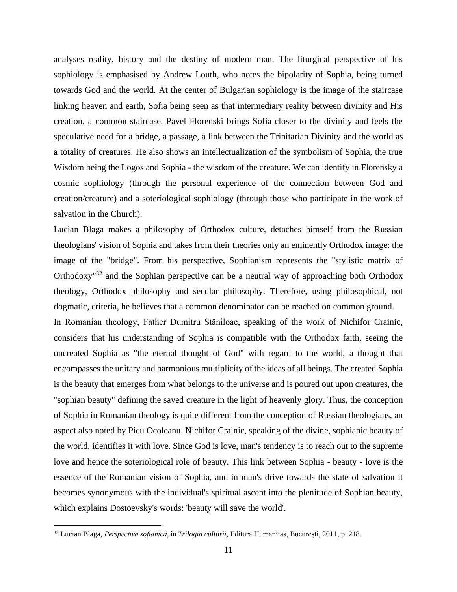analyses reality, history and the destiny of modern man. The liturgical perspective of his sophiology is emphasised by Andrew Louth, who notes the bipolarity of Sophia, being turned towards God and the world. At the center of Bulgarian sophiology is the image of the staircase linking heaven and earth, Sofia being seen as that intermediary reality between divinity and His creation, a common staircase. Pavel Florenski brings Sofia closer to the divinity and feels the speculative need for a bridge, a passage, a link between the Trinitarian Divinity and the world as a totality of creatures. He also shows an intellectualization of the symbolism of Sophia, the true Wisdom being the Logos and Sophia - the wisdom of the creature. We can identify in Florensky a cosmic sophiology (through the personal experience of the connection between God and creation/creature) and a soteriological sophiology (through those who participate in the work of salvation in the Church).

Lucian Blaga makes a philosophy of Orthodox culture, detaches himself from the Russian theologians' vision of Sophia and takes from their theories only an eminently Orthodox image: the image of the "bridge". From his perspective, Sophianism represents the "stylistic matrix of Orthodoxy"<sup>32</sup> and the Sophian perspective can be a neutral way of approaching both Orthodox theology, Orthodox philosophy and secular philosophy. Therefore, using philosophical, not dogmatic, criteria, he believes that a common denominator can be reached on common ground.

In Romanian theology, Father Dumitru Stăniloae, speaking of the work of Nichifor Crainic, considers that his understanding of Sophia is compatible with the Orthodox faith, seeing the uncreated Sophia as "the eternal thought of God" with regard to the world, a thought that encompasses the unitary and harmonious multiplicity of the ideas of all beings. The created Sophia is the beauty that emerges from what belongs to the universe and is poured out upon creatures, the "sophian beauty" defining the saved creature in the light of heavenly glory. Thus, the conception of Sophia in Romanian theology is quite different from the conception of Russian theologians, an aspect also noted by Picu Ocoleanu. Nichifor Crainic, speaking of the divine, sophianic beauty of the world, identifies it with love. Since God is love, man's tendency is to reach out to the supreme love and hence the soteriological role of beauty. This link between Sophia - beauty - love is the essence of the Romanian vision of Sophia, and in man's drive towards the state of salvation it becomes synonymous with the individual's spiritual ascent into the plenitude of Sophian beauty, which explains Dostoevsky's words: 'beauty will save the world'.

<sup>32</sup> Lucian Blaga, *Perspectiva sofianică*, în *Trilogia culturii,* Editura Humanitas, București, 2011, p. 218.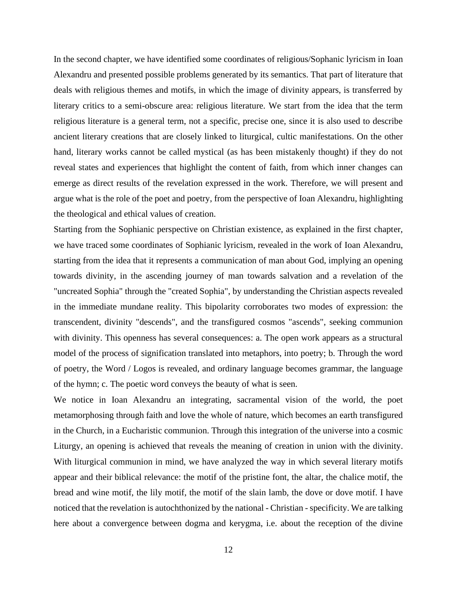In the second chapter, we have identified some coordinates of religious/Sophanic lyricism in Ioan Alexandru and presented possible problems generated by its semantics. That part of literature that deals with religious themes and motifs, in which the image of divinity appears, is transferred by literary critics to a semi-obscure area: religious literature. We start from the idea that the term religious literature is a general term, not a specific, precise one, since it is also used to describe ancient literary creations that are closely linked to liturgical, cultic manifestations. On the other hand, literary works cannot be called mystical (as has been mistakenly thought) if they do not reveal states and experiences that highlight the content of faith, from which inner changes can emerge as direct results of the revelation expressed in the work. Therefore, we will present and argue what is the role of the poet and poetry, from the perspective of Ioan Alexandru, highlighting the theological and ethical values of creation.

Starting from the Sophianic perspective on Christian existence, as explained in the first chapter, we have traced some coordinates of Sophianic lyricism, revealed in the work of Ioan Alexandru, starting from the idea that it represents a communication of man about God, implying an opening towards divinity, in the ascending journey of man towards salvation and a revelation of the "uncreated Sophia" through the "created Sophia", by understanding the Christian aspects revealed in the immediate mundane reality. This bipolarity corroborates two modes of expression: the transcendent, divinity "descends", and the transfigured cosmos "ascends", seeking communion with divinity. This openness has several consequences: a. The open work appears as a structural model of the process of signification translated into metaphors, into poetry; b. Through the word of poetry, the Word / Logos is revealed, and ordinary language becomes grammar, the language of the hymn; c. The poetic word conveys the beauty of what is seen.

We notice in Ioan Alexandru an integrating, sacramental vision of the world, the poet metamorphosing through faith and love the whole of nature, which becomes an earth transfigured in the Church, in a Eucharistic communion. Through this integration of the universe into a cosmic Liturgy, an opening is achieved that reveals the meaning of creation in union with the divinity. With liturgical communion in mind, we have analyzed the way in which several literary motifs appear and their biblical relevance: the motif of the pristine font, the altar, the chalice motif, the bread and wine motif, the lily motif, the motif of the slain lamb, the dove or dove motif. I have noticed that the revelation is autochthonized by the national - Christian - specificity. We are talking here about a convergence between dogma and kerygma, i.e. about the reception of the divine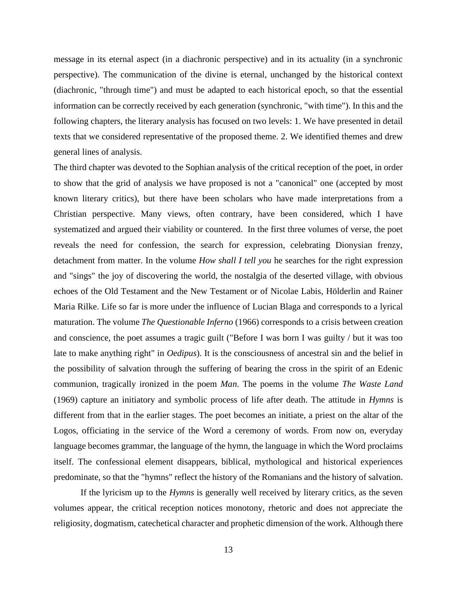message in its eternal aspect (in a diachronic perspective) and in its actuality (in a synchronic perspective). The communication of the divine is eternal, unchanged by the historical context (diachronic, "through time") and must be adapted to each historical epoch, so that the essential information can be correctly received by each generation (synchronic, "with time"). In this and the following chapters, the literary analysis has focused on two levels: 1. We have presented in detail texts that we considered representative of the proposed theme. 2. We identified themes and drew general lines of analysis.

The third chapter was devoted to the Sophian analysis of the critical reception of the poet, in order to show that the grid of analysis we have proposed is not a "canonical" one (accepted by most known literary critics), but there have been scholars who have made interpretations from a Christian perspective. Many views, often contrary, have been considered, which I have systematized and argued their viability or countered. In the first three volumes of verse, the poet reveals the need for confession, the search for expression, celebrating Dionysian frenzy, detachment from matter. In the volume *How shall I tell you* he searches for the right expression and "sings" the joy of discovering the world, the nostalgia of the deserted village, with obvious echoes of the Old Testament and the New Testament or of Nicolae Labis, Hölderlin and Rainer Maria Rilke. Life so far is more under the influence of Lucian Blaga and corresponds to a lyrical maturation. The volume *The Questionable Inferno* (1966) corresponds to a crisis between creation and conscience, the poet assumes a tragic guilt ("Before I was born I was guilty / but it was too late to make anything right" in *Oedipus*). It is the consciousness of ancestral sin and the belief in the possibility of salvation through the suffering of bearing the cross in the spirit of an Edenic communion, tragically ironized in the poem *Man*. The poems in the volume *The Waste Land* (1969) capture an initiatory and symbolic process of life after death. The attitude in *Hymns* is different from that in the earlier stages. The poet becomes an initiate, a priest on the altar of the Logos, officiating in the service of the Word a ceremony of words. From now on, everyday language becomes grammar, the language of the hymn, the language in which the Word proclaims itself. The confessional element disappears, biblical, mythological and historical experiences predominate, so that the "hymns" reflect the history of the Romanians and the history of salvation.

If the lyricism up to the *Hymns* is generally well received by literary critics, as the seven volumes appear, the critical reception notices monotony, rhetoric and does not appreciate the religiosity, dogmatism, catechetical character and prophetic dimension of the work. Although there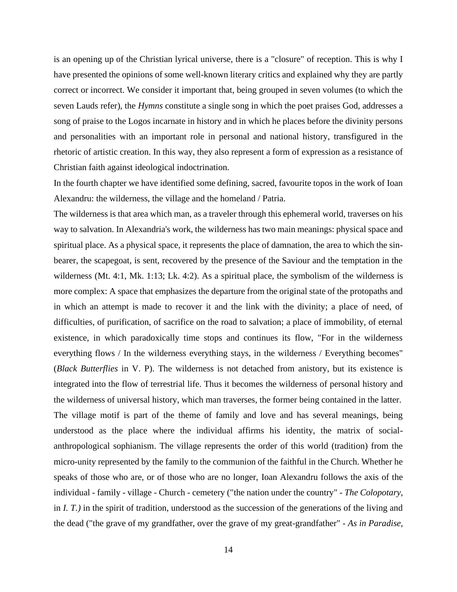is an opening up of the Christian lyrical universe, there is a "closure" of reception. This is why I have presented the opinions of some well-known literary critics and explained why they are partly correct or incorrect. We consider it important that, being grouped in seven volumes (to which the seven Lauds refer), the *Hymns* constitute a single song in which the poet praises God, addresses a song of praise to the Logos incarnate in history and in which he places before the divinity persons and personalities with an important role in personal and national history, transfigured in the rhetoric of artistic creation. In this way, they also represent a form of expression as a resistance of Christian faith against ideological indoctrination.

In the fourth chapter we have identified some defining, sacred, favourite topos in the work of Ioan Alexandru: the wilderness, the village and the homeland / Patria.

The wilderness is that area which man, as a traveler through this ephemeral world, traverses on his way to salvation. In Alexandria's work, the wilderness has two main meanings: physical space and spiritual place. As a physical space, it represents the place of damnation, the area to which the sinbearer, the scapegoat, is sent, recovered by the presence of the Saviour and the temptation in the wilderness (Mt. 4:1, Mk. 1:13; Lk. 4:2). As a spiritual place, the symbolism of the wilderness is more complex: A space that emphasizes the departure from the original state of the protopaths and in which an attempt is made to recover it and the link with the divinity; a place of need, of difficulties, of purification, of sacrifice on the road to salvation; a place of immobility, of eternal existence, in which paradoxically time stops and continues its flow, "For in the wilderness everything flows / In the wilderness everything stays, in the wilderness / Everything becomes" (*Black Butterflies* in V. P). The wilderness is not detached from anistory, but its existence is integrated into the flow of terrestrial life. Thus it becomes the wilderness of personal history and the wilderness of universal history, which man traverses, the former being contained in the latter. The village motif is part of the theme of family and love and has several meanings, being understood as the place where the individual affirms his identity, the matrix of socialanthropological sophianism. The village represents the order of this world (tradition) from the micro-unity represented by the family to the communion of the faithful in the Church. Whether he speaks of those who are, or of those who are no longer, Ioan Alexandru follows the axis of the individual - family - village - Church - cemetery ("the nation under the country" - *The Colopotary*, in *I. T.)* in the spirit of tradition, understood as the succession of the generations of the living and the dead ("the grave of my grandfather, over the grave of my great-grandfather" - *As in Paradise*,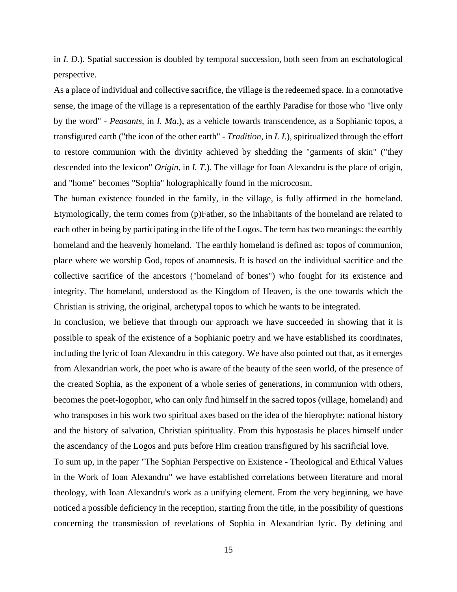in *I. D*.). Spatial succession is doubled by temporal succession, both seen from an eschatological perspective.

As a place of individual and collective sacrifice, the village is the redeemed space. In a connotative sense, the image of the village is a representation of the earthly Paradise for those who "live only by the word" - *Peasants*, in *I. Ma*.), as a vehicle towards transcendence, as a Sophianic topos, a transfigured earth ("the icon of the other earth" - *Tradition*, in *I. I*.), spiritualized through the effort to restore communion with the divinity achieved by shedding the "garments of skin" ("they descended into the lexicon" *Origin*, in *I. T*.). The village for Ioan Alexandru is the place of origin, and "home" becomes "Sophia" holographically found in the microcosm.

The human existence founded in the family, in the village, is fully affirmed in the homeland. Etymologically, the term comes from (p)Father, so the inhabitants of the homeland are related to each other in being by participating in the life of the Logos. The term has two meanings: the earthly homeland and the heavenly homeland. The earthly homeland is defined as: topos of communion, place where we worship God, topos of anamnesis. It is based on the individual sacrifice and the collective sacrifice of the ancestors ("homeland of bones") who fought for its existence and integrity. The homeland, understood as the Kingdom of Heaven, is the one towards which the Christian is striving, the original, archetypal topos to which he wants to be integrated.

In conclusion, we believe that through our approach we have succeeded in showing that it is possible to speak of the existence of a Sophianic poetry and we have established its coordinates, including the lyric of Ioan Alexandru in this category. We have also pointed out that, as it emerges from Alexandrian work, the poet who is aware of the beauty of the seen world, of the presence of the created Sophia, as the exponent of a whole series of generations, in communion with others, becomes the poet-logophor, who can only find himself in the sacred topos (village, homeland) and who transposes in his work two spiritual axes based on the idea of the hierophyte: national history and the history of salvation, Christian spirituality. From this hypostasis he places himself under the ascendancy of the Logos and puts before Him creation transfigured by his sacrificial love.

To sum up, in the paper "The Sophian Perspective on Existence - Theological and Ethical Values in the Work of Ioan Alexandru" we have established correlations between literature and moral theology, with Ioan Alexandru's work as a unifying element. From the very beginning, we have noticed a possible deficiency in the reception, starting from the title, in the possibility of questions concerning the transmission of revelations of Sophia in Alexandrian lyric. By defining and